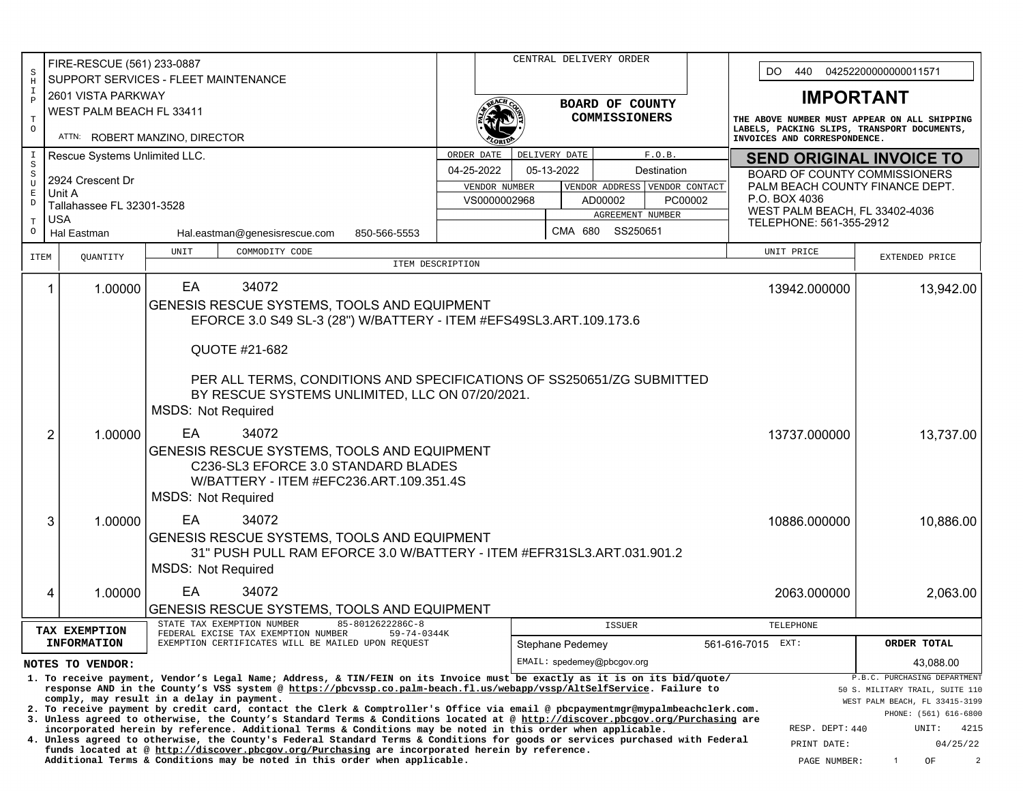|                                                                                                                                                                                                                                                                                                                                                                                                                                                                                                                                                              | FIRE-RESCUE (561) 233-0887                                   |                                                                                |                                    |                                                | CENTRAL DELIVERY ORDER |                                  |                                                 |                                                                                                                             |                                                         |  |  |
|--------------------------------------------------------------------------------------------------------------------------------------------------------------------------------------------------------------------------------------------------------------------------------------------------------------------------------------------------------------------------------------------------------------------------------------------------------------------------------------------------------------------------------------------------------------|--------------------------------------------------------------|--------------------------------------------------------------------------------|------------------------------------|------------------------------------------------|------------------------|----------------------------------|-------------------------------------------------|-----------------------------------------------------------------------------------------------------------------------------|---------------------------------------------------------|--|--|
| $\rm S$<br>$\, {\rm H}$                                                                                                                                                                                                                                                                                                                                                                                                                                                                                                                                      |                                                              | SUPPORT SERVICES - FLEET MAINTENANCE                                           |                                    |                                                |                        |                                  |                                                 |                                                                                                                             | DO.<br>440<br>04252200000000011571                      |  |  |
| I<br>$\, {\bf P}$                                                                                                                                                                                                                                                                                                                                                                                                                                                                                                                                            | 2601 VISTA PARKWAY                                           |                                                                                |                                    |                                                |                        |                                  |                                                 | <b>IMPORTANT</b>                                                                                                            |                                                         |  |  |
|                                                                                                                                                                                                                                                                                                                                                                                                                                                                                                                                                              | WEST PALM BEACH FL 33411                                     |                                                                                |                                    |                                                |                        | BOARD OF COUNTY<br>COMMISSIONERS |                                                 |                                                                                                                             |                                                         |  |  |
| $\mathbf T$<br>$\circ$                                                                                                                                                                                                                                                                                                                                                                                                                                                                                                                                       | ATTN: ROBERT MANZINO, DIRECTOR                               |                                                                                |                                    |                                                |                        |                                  |                                                 | THE ABOVE NUMBER MUST APPEAR ON ALL SHIPPING<br>LABELS, PACKING SLIPS, TRANSPORT DOCUMENTS,<br>INVOICES AND CORRESPONDENCE. |                                                         |  |  |
| I                                                                                                                                                                                                                                                                                                                                                                                                                                                                                                                                                            | Rescue Systems Unlimited LLC.                                |                                                                                |                                    | DELIVERY DATE<br>F.O.B.<br>ORDER DATE          |                        |                                  |                                                 | <b>SEND ORIGINAL INVOICE TO</b>                                                                                             |                                                         |  |  |
| $\rm S$<br>$\, \mathbb{S}$                                                                                                                                                                                                                                                                                                                                                                                                                                                                                                                                   |                                                              |                                                                                |                                    | 04-25-2022<br>05-13-2022<br>Destination        |                        |                                  |                                                 | BOARD OF COUNTY COMMISSIONERS                                                                                               |                                                         |  |  |
| U<br>$\mathbf E$                                                                                                                                                                                                                                                                                                                                                                                                                                                                                                                                             | 2924 Crescent Dr<br>Unit A                                   |                                                                                |                                    |                                                | VENDOR NUMBER          | VENDOR ADDRESS VENDOR CONTACT    |                                                 | PALM BEACH COUNTY FINANCE DEPT.                                                                                             |                                                         |  |  |
| $\mathbb D$                                                                                                                                                                                                                                                                                                                                                                                                                                                                                                                                                  | Tallahassee FL 32301-3528                                    |                                                                                | VS0000002968<br>AD00002<br>PC00002 |                                                |                        |                                  | P.O. BOX 4036<br>WEST PALM BEACH, FL 33402-4036 |                                                                                                                             |                                                         |  |  |
| $\mathbf T$                                                                                                                                                                                                                                                                                                                                                                                                                                                                                                                                                  | <b>USA</b>                                                   |                                                                                |                                    | AGREEMENT NUMBER                               |                        | TELEPHONE: 561-355-2912          |                                                 |                                                                                                                             |                                                         |  |  |
| O                                                                                                                                                                                                                                                                                                                                                                                                                                                                                                                                                            | Hal Eastman<br>Hal.eastman@genesisrescue.com<br>850-566-5553 |                                                                                |                                    | SS250651<br>CMA 680                            |                        |                                  |                                                 |                                                                                                                             |                                                         |  |  |
| <b>ITEM</b>                                                                                                                                                                                                                                                                                                                                                                                                                                                                                                                                                  | QUANTITY                                                     | UNIT<br>COMMODITY CODE                                                         | ITEM DESCRIPTION                   |                                                |                        |                                  |                                                 | UNIT PRICE                                                                                                                  | EXTENDED PRICE                                          |  |  |
|                                                                                                                                                                                                                                                                                                                                                                                                                                                                                                                                                              |                                                              |                                                                                |                                    |                                                |                        |                                  |                                                 |                                                                                                                             |                                                         |  |  |
|                                                                                                                                                                                                                                                                                                                                                                                                                                                                                                                                                              | 1.00000<br>1                                                 | 34072<br>EA                                                                    |                                    |                                                |                        |                                  |                                                 | 13942.000000                                                                                                                | 13,942.00                                               |  |  |
|                                                                                                                                                                                                                                                                                                                                                                                                                                                                                                                                                              |                                                              | GENESIS RESCUE SYSTEMS, TOOLS AND EQUIPMENT                                    |                                    |                                                |                        |                                  |                                                 |                                                                                                                             |                                                         |  |  |
|                                                                                                                                                                                                                                                                                                                                                                                                                                                                                                                                                              |                                                              | EFORCE 3.0 S49 SL-3 (28") W/BATTERY - ITEM #EFS49SL3.ART.109.173.6             |                                    |                                                |                        |                                  |                                                 |                                                                                                                             |                                                         |  |  |
|                                                                                                                                                                                                                                                                                                                                                                                                                                                                                                                                                              |                                                              | QUOTE #21-682                                                                  |                                    |                                                |                        |                                  |                                                 |                                                                                                                             |                                                         |  |  |
|                                                                                                                                                                                                                                                                                                                                                                                                                                                                                                                                                              |                                                              |                                                                                |                                    |                                                |                        |                                  |                                                 |                                                                                                                             |                                                         |  |  |
|                                                                                                                                                                                                                                                                                                                                                                                                                                                                                                                                                              |                                                              | PER ALL TERMS, CONDITIONS AND SPECIFICATIONS OF SS250651/ZG SUBMITTED          |                                    |                                                |                        |                                  |                                                 |                                                                                                                             |                                                         |  |  |
|                                                                                                                                                                                                                                                                                                                                                                                                                                                                                                                                                              |                                                              | BY RESCUE SYSTEMS UNLIMITED, LLC ON 07/20/2021.<br><b>MSDS: Not Required</b>   |                                    |                                                |                        |                                  |                                                 |                                                                                                                             |                                                         |  |  |
|                                                                                                                                                                                                                                                                                                                                                                                                                                                                                                                                                              |                                                              |                                                                                |                                    |                                                |                        |                                  |                                                 | 13737.000000                                                                                                                |                                                         |  |  |
|                                                                                                                                                                                                                                                                                                                                                                                                                                                                                                                                                              | 2<br>1.00000                                                 | EA<br>34072                                                                    |                                    |                                                | 13,737.00              |                                  |                                                 |                                                                                                                             |                                                         |  |  |
|                                                                                                                                                                                                                                                                                                                                                                                                                                                                                                                                                              |                                                              | GENESIS RESCUE SYSTEMS, TOOLS AND EQUIPMENT                                    |                                    |                                                |                        |                                  |                                                 |                                                                                                                             |                                                         |  |  |
|                                                                                                                                                                                                                                                                                                                                                                                                                                                                                                                                                              |                                                              | C236-SL3 EFORCE 3.0 STANDARD BLADES<br>W/BATTERY - ITEM #EFC236.ART.109.351.4S |                                    |                                                |                        |                                  |                                                 |                                                                                                                             |                                                         |  |  |
|                                                                                                                                                                                                                                                                                                                                                                                                                                                                                                                                                              |                                                              | <b>MSDS: Not Required</b>                                                      |                                    |                                                |                        |                                  |                                                 |                                                                                                                             |                                                         |  |  |
|                                                                                                                                                                                                                                                                                                                                                                                                                                                                                                                                                              |                                                              |                                                                                |                                    |                                                |                        |                                  |                                                 |                                                                                                                             | 10,886.00                                               |  |  |
|                                                                                                                                                                                                                                                                                                                                                                                                                                                                                                                                                              | 3                                                            | EA<br>34072<br>1.00000<br>10886.000000                                         |                                    |                                                |                        |                                  |                                                 |                                                                                                                             |                                                         |  |  |
|                                                                                                                                                                                                                                                                                                                                                                                                                                                                                                                                                              |                                                              | GENESIS RESCUE SYSTEMS, TOOLS AND EQUIPMENT                                    |                                    |                                                |                        |                                  |                                                 |                                                                                                                             |                                                         |  |  |
|                                                                                                                                                                                                                                                                                                                                                                                                                                                                                                                                                              |                                                              | 31" PUSH PULL RAM EFORCE 3.0 W/BATTERY - ITEM #EFR31SL3.ART.031.901.2          |                                    |                                                |                        |                                  |                                                 |                                                                                                                             |                                                         |  |  |
|                                                                                                                                                                                                                                                                                                                                                                                                                                                                                                                                                              |                                                              | <b>MSDS: Not Required</b>                                                      |                                    |                                                |                        |                                  |                                                 |                                                                                                                             |                                                         |  |  |
|                                                                                                                                                                                                                                                                                                                                                                                                                                                                                                                                                              | 1.00000<br>4                                                 | EA<br>34072                                                                    |                                    |                                                |                        |                                  |                                                 | 2063.000000                                                                                                                 | 2,063.00                                                |  |  |
|                                                                                                                                                                                                                                                                                                                                                                                                                                                                                                                                                              |                                                              | GENESIS RESCUE SYSTEMS, TOOLS AND EQUIPMENT                                    |                                    |                                                |                        |                                  |                                                 |                                                                                                                             |                                                         |  |  |
| STATE TAX EXEMPTION NUMBER<br>85-8012622286C-8<br>TAX EXEMPTION<br>FEDERAL EXCISE TAX EXEMPTION NUMBER<br>$59 - 74 - 0344K$<br><b>INFORMATION</b><br>EXEMPTION CERTIFICATES WILL BE MAILED UPON REOUEST                                                                                                                                                                                                                                                                                                                                                      |                                                              |                                                                                |                                    |                                                |                        | <b>ISSUER</b>                    |                                                 | TELEPHONE                                                                                                                   | ORDER TOTAL                                             |  |  |
|                                                                                                                                                                                                                                                                                                                                                                                                                                                                                                                                                              |                                                              |                                                                                |                                    | Stephane Pedemey<br>EMAIL: spedemey@pbcqov.org |                        |                                  |                                                 | 561-616-7015 EXT:                                                                                                           | 43.088.00                                               |  |  |
|                                                                                                                                                                                                                                                                                                                                                                                                                                                                                                                                                              | NOTES TO VENDOR:                                             |                                                                                |                                    |                                                |                        |                                  |                                                 |                                                                                                                             | P.B.C. PURCHASING DEPARTMENT                            |  |  |
| 1. To receive payment, Vendor's Legal Name; Address, & TIN/FEIN on its Invoice must be exactly as it is on its bid/quote/<br>response AND in the County's VSS system @ https://pbcvssp.co.palm-beach.fl.us/webapp/vssp/AltSelfService. Failure to<br>comply, may result in a delay in payment.<br>2. To receive payment by credit card, contact the Clerk & Comptroller's Office via email @ pbcpaymentmgr@mypalmbeachclerk.com.                                                                                                                             |                                                              |                                                                                |                                    |                                                |                        |                                  |                                                 |                                                                                                                             | 50 S. MILITARY TRAIL, SUITE 110                         |  |  |
|                                                                                                                                                                                                                                                                                                                                                                                                                                                                                                                                                              |                                                              |                                                                                |                                    |                                                |                        |                                  |                                                 |                                                                                                                             | WEST PALM BEACH, FL 33415-3199<br>PHONE: (561) 616-6800 |  |  |
| 3. Unless agreed to otherwise, the County's Standard Terms & Conditions located at @ http://discover.pbcgov.org/Purchasing are<br>incorporated herein by reference. Additional Terms & Conditions may be noted in this order when applicable.<br>4. Unless agreed to otherwise, the County's Federal Standard Terms & Conditions for goods or services purchased with Federal<br>funds located at @ http://discover.pbcgov.org/Purchasing are incorporated herein by reference.<br>Additional Terms & Conditions may be noted in this order when applicable. |                                                              |                                                                                |                                    |                                                |                        |                                  |                                                 |                                                                                                                             | RESP. DEPT: 440<br>UNIT:<br>4215                        |  |  |
|                                                                                                                                                                                                                                                                                                                                                                                                                                                                                                                                                              |                                                              |                                                                                |                                    |                                                |                        |                                  |                                                 |                                                                                                                             | 04/25/22                                                |  |  |
|                                                                                                                                                                                                                                                                                                                                                                                                                                                                                                                                                              |                                                              |                                                                                |                                    |                                                |                        |                                  |                                                 | PAGE NUMBER:                                                                                                                | $\overline{2}$<br>OF<br>$\mathbf{1}$                    |  |  |